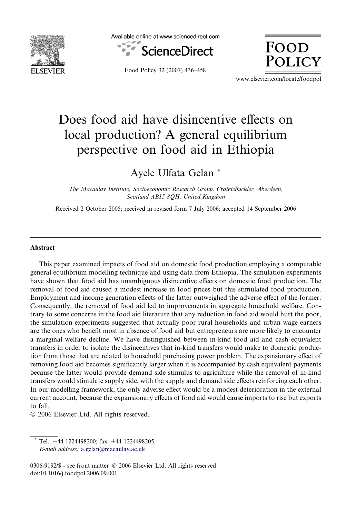

Available online at www.sciencedirect.com



Food Policy 32 (2007) 436–458

FOOD **POLICY** 

www.elsevier.com/locate/foodpol

# Does food aid have disincentive effects on local production? A general equilibrium perspective on food aid in Ethiopia

## Ayele Ulfata Gelan \*

The Macaulay Institute, Socioeconomic Research Group, Craigiebuckler, Aberdeen, Scotland AB15 8QH, United Kingdom

Received 2 October 2005; received in revised form 7 July 2006; accepted 14 September 2006

#### Abstract

This paper examined impacts of food aid on domestic food production employing a computable general equilibrium modelling technique and using data from Ethiopia. The simulation experiments have shown that food aid has unambiguous disincentive effects on domestic food production. The removal of food aid caused a modest increase in food prices but this stimulated food production. Employment and income generation effects of the latter outweighed the adverse effect of the former. Consequently, the removal of food aid led to improvements in aggregate household welfare. Contrary to some concerns in the food aid literature that any reduction in food aid would hurt the poor, the simulation experiments suggested that actually poor rural households and urban wage earners are the ones who benefit most in absence of food aid but entrepreneurs are more likely to encounter a marginal welfare decline. We have distinguished between in-kind food aid and cash equivalent transfers in order to isolate the disincentives that in-kind transfers would make to domestic production from those that are related to household purchasing power problem. The expansionary effect of removing food aid becomes significantly larger when it is accompanied by cash equivalent payments because the latter would provide demand side stimulus to agriculture while the removal of in-kind transfers would stimulate supply side, with the supply and demand side effects reinforcing each other. In our modelling framework, the only adverse effect would be a modest deterioration in the external current account, because the expansionary effects of food aid would cause imports to rise but exports to fall.

 $© 2006 Elsevier Ltd. All rights reserved.$ 

Tel.: +44 1224498200; fax: +44 1224498205. E-mail address: [a.gelan@macaulay.ac.uk.](mailto:a.gelan@macaulay.ac.uk)

<sup>0306-9192/\$ -</sup> see front matter © 2006 Elsevier Ltd. All rights reserved. doi:10.1016/j.foodpol.2006.09.001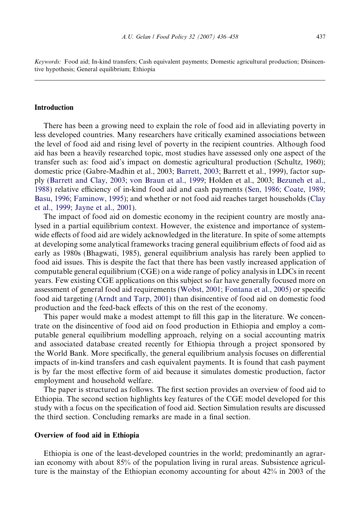Keywords: Food aid; In-kind transfers; Cash equivalent payments; Domestic agricultural production; Disincentive hypothesis; General equilibrium; Ethiopia

### Introduction

There has been a growing need to explain the role of food aid in alleviating poverty in less developed countries. Many researchers have critically examined associations between the level of food aid and rising level of poverty in the recipient countries. Although food aid has been a heavily researched topic, most studies have assessed only one aspect of the transfer such as: food aid's impact on domestic agricultural production (Schultz, 1960); domestic price (Gabre-Madhin et al., 2003; [Barrett, 2003;](#page--1-0) Barrett et al., 1999), factor supply [\(Barrett and Clay, 2003; von Braun et al., 1999](#page--1-0); Holden et al., 2003; [Bezuneh et al.,](#page--1-0) [1988](#page--1-0)) relative efficiency of in-kind food aid and cash payments ([Sen, 1986; Coate, 1989;](#page--1-0) [Basu, 1996; Faminow, 1995\)](#page--1-0); and whether or not food aid reaches target households [\(Clay](#page--1-0) [et al., 1999; Jayne et al., 2001\)](#page--1-0).

The impact of food aid on domestic economy in the recipient country are mostly analysed in a partial equilibrium context. However, the existence and importance of systemwide effects of food aid are widely acknowledged in the literature. In spite of some attempts at developing some analytical frameworks tracing general equilibrium effects of food aid as early as 1980s (Bhagwati, 1985), general equilibrium analysis has rarely been applied to food aid issues. This is despite the fact that there has been vastly increased application of computable general equilibrium (CGE) on a wide range of policy analysis in LDCs in recent years. Few existing CGE applications on this subject so far have generally focused more on assessment of general food aid requirements (Wobst, 2001; Fontana et al., 2005) or specific food aid targeting [\(Arndt and Tarp, 2001](#page--1-0)) than disincentive of food aid on domestic food production and the feed-back effects of this on the rest of the economy.

This paper would make a modest attempt to fill this gap in the literature. We concentrate on the disincentive of food aid on food production in Ethiopia and employ a computable general equilibrium modelling approach, relying on a social accounting matrix and associated database created recently for Ethiopia through a project sponsored by the World Bank. More specifically, the general equilibrium analysis focuses on differential impacts of in-kind transfers and cash equivalent payments. It is found that cash payment is by far the most effective form of aid because it simulates domestic production, factor employment and household welfare.

The paper is structured as follows. The first section provides an overview of food aid to Ethiopia. The second section highlights key features of the CGE model developed for this study with a focus on the specification of food aid. Section Simulation results are discussed the third section. Concluding remarks are made in a final section.

### Overview of food aid in Ethiopia

Ethiopia is one of the least-developed countries in the world; predominantly an agrarian economy with about 85% of the population living in rural areas. Subsistence agriculture is the mainstay of the Ethiopian economy accounting for about 42% in 2003 of the